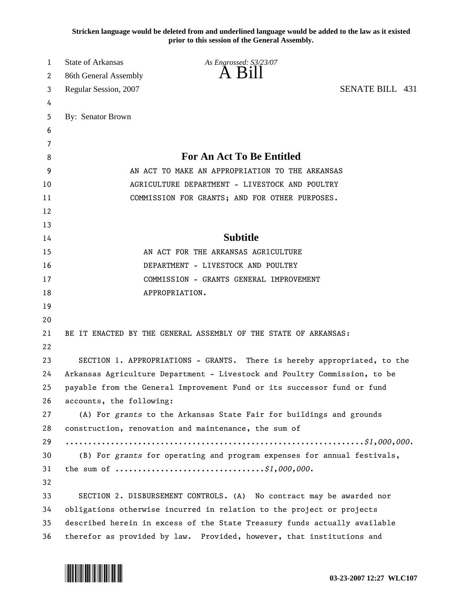**Stricken language would be deleted from and underlined language would be added to the law as it existed prior to this session of the General Assembly.**

| 1  | <b>State of Arkansas</b>                                                                        | As Engrossed: S3/23/07                                               |                 |
|----|-------------------------------------------------------------------------------------------------|----------------------------------------------------------------------|-----------------|
| 2  | 86th General Assembly                                                                           | A K1                                                                 |                 |
| 3  | Regular Session, 2007                                                                           |                                                                      | SENATE BILL 431 |
| 4  |                                                                                                 |                                                                      |                 |
| 5  | By: Senator Brown                                                                               |                                                                      |                 |
| 6  |                                                                                                 |                                                                      |                 |
| 7  |                                                                                                 |                                                                      |                 |
| 8  | <b>For An Act To Be Entitled</b>                                                                |                                                                      |                 |
| 9  | AN ACT TO MAKE AN APPROPRIATION TO THE ARKANSAS                                                 |                                                                      |                 |
| 10 | AGRICULTURE DEPARTMENT - LIVESTOCK AND POULTRY                                                  |                                                                      |                 |
| 11 | COMMISSION FOR GRANTS; AND FOR OTHER PURPOSES.                                                  |                                                                      |                 |
| 12 |                                                                                                 |                                                                      |                 |
| 13 |                                                                                                 |                                                                      |                 |
| 14 | <b>Subtitle</b>                                                                                 |                                                                      |                 |
| 15 | AN ACT FOR THE ARKANSAS AGRICULTURE                                                             |                                                                      |                 |
| 16 | DEPARTMENT - LIVESTOCK AND POULTRY                                                              |                                                                      |                 |
| 17 | COMMISSION - GRANTS GENERAL IMPROVEMENT                                                         |                                                                      |                 |
| 18 |                                                                                                 | APPROPRIATION.                                                       |                 |
| 19 |                                                                                                 |                                                                      |                 |
| 20 |                                                                                                 |                                                                      |                 |
| 21 |                                                                                                 | BE IT ENACTED BY THE GENERAL ASSEMBLY OF THE STATE OF ARKANSAS:      |                 |
| 22 |                                                                                                 |                                                                      |                 |
| 23 | SECTION 1. APPROPRIATIONS - GRANTS. There is hereby appropriated, to the                        |                                                                      |                 |
| 24 | Arkansas Agriculture Department - Livestock and Poultry Commission, to be                       |                                                                      |                 |
| 25 | payable from the General Improvement Fund or its successor fund or fund                         |                                                                      |                 |
| 26 | accounts, the following:                                                                        |                                                                      |                 |
| 27 | (A) For grants to the Arkansas State Fair for buildings and grounds                             |                                                                      |                 |
| 28 | construction, renovation and maintenance, the sum of                                            |                                                                      |                 |
| 29 |                                                                                                 |                                                                      |                 |
| 30 | (B) For grants for operating and program expenses for annual festivals,                         |                                                                      |                 |
| 31 | the sum of $\dots \dots \dots \dots \dots \dots \dots \dots \dots \dots \dots \, \$1,000,000$ . |                                                                      |                 |
| 32 |                                                                                                 |                                                                      |                 |
| 33 |                                                                                                 | SECTION 2. DISBURSEMENT CONTROLS. (A) No contract may be awarded nor |                 |
| 34 | obligations otherwise incurred in relation to the project or projects                           |                                                                      |                 |
| 35 | described herein in excess of the State Treasury funds actually available                       |                                                                      |                 |
| 36 | therefor as provided by law. Provided, however, that institutions and                           |                                                                      |                 |